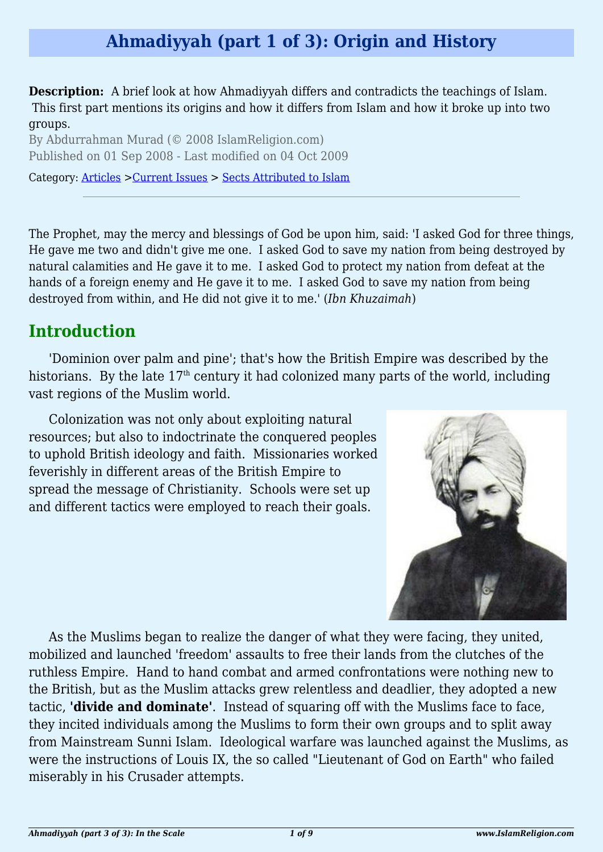## **Ahmadiyyah (part 1 of 3): Origin and History**

**Description:** A brief look at how Ahmadiyyah differs and contradicts the teachings of Islam. This first part mentions its origins and how it differs from Islam and how it broke up into two groups.

By Abdurrahman Murad (© 2008 IslamReligion.com) Published on 01 Sep 2008 - Last modified on 04 Oct 2009

Category: [Articles](http://www.islamreligion.com/articles/) >[Current Issues](http://www.islamreligion.com/category/83/) > [Sects Attributed to Islam](http://www.islamreligion.com/category/86/)

The Prophet, may the mercy and blessings of God be upon him, said: 'I asked God for three things, He gave me two and didn't give me one. I asked God to save my nation from being destroyed by natural calamities and He gave it to me. I asked God to protect my nation from defeat at the hands of a foreign enemy and He gave it to me. I asked God to save my nation from being destroyed from within, and He did not give it to me.' (*Ibn Khuzaimah*)

#### **Introduction**

'Dominion over palm and pine'; that's how the British Empire was described by the historians. By the late  $17<sup>th</sup>$  century it had colonized many parts of the world, including vast regions of the Muslim world.

Colonization was not only about exploiting natural resources; but also to indoctrinate the conquered peoples to uphold British ideology and faith. Missionaries worked feverishly in different areas of the British Empire to spread the message of Christianity. Schools were set up and different tactics were employed to reach their goals.



As the Muslims began to realize the danger of what they were facing, they united, mobilized and launched 'freedom' assaults to free their lands from the clutches of the ruthless Empire. Hand to hand combat and armed confrontations were nothing new to the British, but as the Muslim attacks grew relentless and deadlier, they adopted a new tactic, **'divide and dominate'**. Instead of squaring off with the Muslims face to face, they incited individuals among the Muslims to form their own groups and to split away from Mainstream Sunni Islam. Ideological warfare was launched against the Muslims, as were the instructions of Louis IX, the so called "Lieutenant of God on Earth" who failed miserably in his Crusader attempts.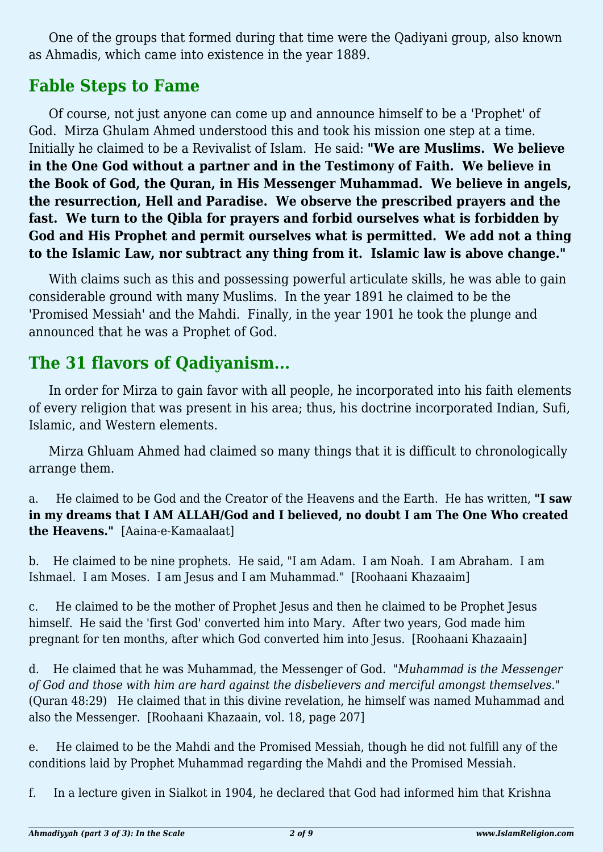One of the groups that formed during that time were the Qadiyani group, also known as Ahmadis, which came into existence in the year 1889.

## **Fable Steps to Fame**

Of course, not just anyone can come up and announce himself to be a 'Prophet' of God. Mirza Ghulam Ahmed understood this and took his mission one step at a time. Initially he claimed to be a Revivalist of Islam. He said: **"We are Muslims. We believe in the One God without a partner and in the Testimony of Faith. We believe in the Book of God, the Quran, in His Messenger Muhammad. We believe in angels, the resurrection, Hell and Paradise. We observe the prescribed prayers and the fast. We turn to the Qibla for prayers and forbid ourselves what is forbidden by God and His Prophet and permit ourselves what is permitted. We add not a thing to the Islamic Law, nor subtract any thing from it. Islamic law is above change."**

With claims such as this and possessing powerful articulate skills, he was able to gain considerable ground with many Muslims. In the year 1891 he claimed to be the 'Promised Messiah' and the Mahdi. Finally, in the year 1901 he took the plunge and announced that he was a Prophet of God.

## **The 31 flavors of Qadiyanism...**

In order for Mirza to gain favor with all people, he incorporated into his faith elements of every religion that was present in his area; thus, his doctrine incorporated Indian, Sufi, Islamic, and Western elements.

Mirza Ghluam Ahmed had claimed so many things that it is difficult to chronologically arrange them.

a. He claimed to be God and the Creator of the Heavens and the Earth. He has written, **"I saw in my dreams that I AM ALLAH/God and I believed, no doubt I am The One Who created the Heavens."** [Aaina-e-Kamaalaat]

b. He claimed to be nine prophets. He said, "I am Adam. I am Noah. I am Abraham. I am Ishmael. I am Moses. I am Jesus and I am Muhammad." [Roohaani Khazaaim]

c. He claimed to be the mother of Prophet Jesus and then he claimed to be Prophet Jesus himself. He said the 'first God' converted him into Mary. After two years, God made him pregnant for ten months, after which God converted him into Jesus. [Roohaani Khazaain]

d. He claimed that he was Muhammad, the Messenger of God. "*Muhammad is the Messenger of God and those with him are hard against the disbelievers and merciful amongst themselves."* (Quran 48:29) He claimed that in this divine revelation, he himself was named Muhammad and also the Messenger. [Roohaani Khazaain, vol. 18, page 207]

e. He claimed to be the Mahdi and the Promised Messiah, though he did not fulfill any of the conditions laid by Prophet Muhammad regarding the Mahdi and the Promised Messiah.

f. In a lecture given in Sialkot in 1904, he declared that God had informed him that Krishna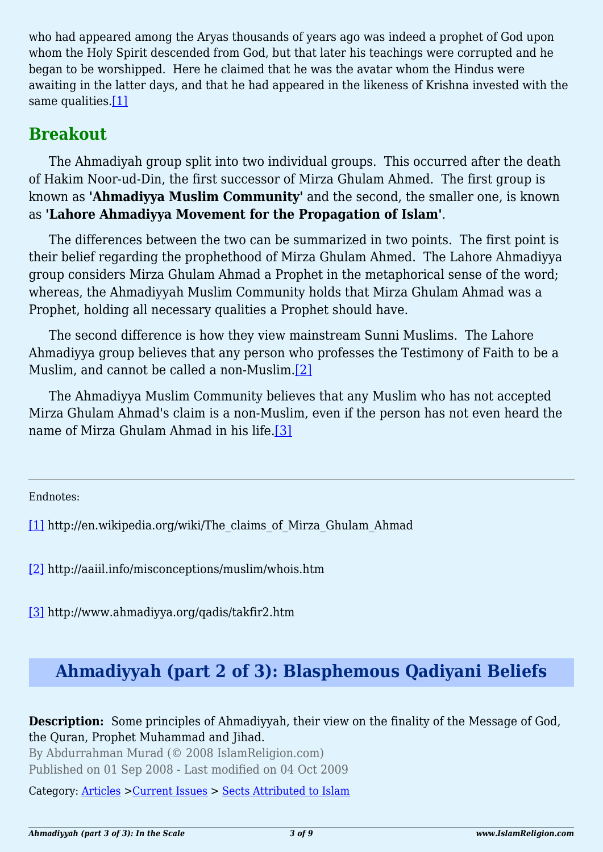who had appeared among the Aryas thousands of years ago was indeed a prophet of God upon whom the Holy Spirit descended from God, but that later his teachings were corrupted and he began to be worshipped. Here he claimed that he was the avatar whom the Hindus were awaiting in the latter days, and that he had appeared in the likeness of Krishna invested with the same qualities.[\[1\]](#page-2-0)

#### <span id="page-2-3"></span>**Breakout**

The Ahmadiyah group split into two individual groups. This occurred after the death of Hakim Noor-ud-Din, the first successor of Mirza Ghulam Ahmed. The first group is known as **'Ahmadiyya Muslim Community'** and the second, the smaller one, is known as **'Lahore Ahmadiyya Movement for the Propagation of Islam'**.

The differences between the two can be summarized in two points. The first point is their belief regarding the prophethood of Mirza Ghulam Ahmed. The Lahore Ahmadiyya group considers Mirza Ghulam Ahmad a Prophet in the metaphorical sense of the word; whereas, the Ahmadiyyah Muslim Community holds that Mirza Ghulam Ahmad was a Prophet, holding all necessary qualities a Prophet should have.

The second difference is how they view mainstream Sunni Muslims. The Lahore Ahmadiyya group believes that any person who professes the Testimony of Faith to be a Muslim, and cannot be called a non-Muslim[.\[2\]](#page-2-1)

<span id="page-2-5"></span><span id="page-2-4"></span>The Ahmadiyya Muslim Community believes that any Muslim who has not accepted Mirza Ghulam Ahmad's claim is a non-Muslim, even if the person has not even heard the name of Mirza Ghulam Ahmad in his life[.\[3\]](#page-2-2)

<span id="page-2-0"></span>Endnotes:

[\[1\]](#page-2-3) http://en.wikipedia.org/wiki/The\_claims\_of\_Mirza\_Ghulam\_Ahmad

<span id="page-2-1"></span>[\[2\]](#page-2-4) http://aaiil.info/misconceptions/muslim/whois.htm

<span id="page-2-2"></span>[\[3\]](#page-2-5) http://www.ahmadiyya.org/qadis/takfir2.htm

# **Ahmadiyyah (part 2 of 3): Blasphemous Qadiyani Beliefs**

By Abdurrahman Murad (© 2008 IslamReligion.com) Published on 01 Sep 2008 - Last modified on 04 Oct 2009

Category: [Articles](http://www.islamreligion.com/articles/) >[Current Issues](http://www.islamreligion.com/category/83/) > [Sects Attributed to Islam](http://www.islamreligion.com/category/86/)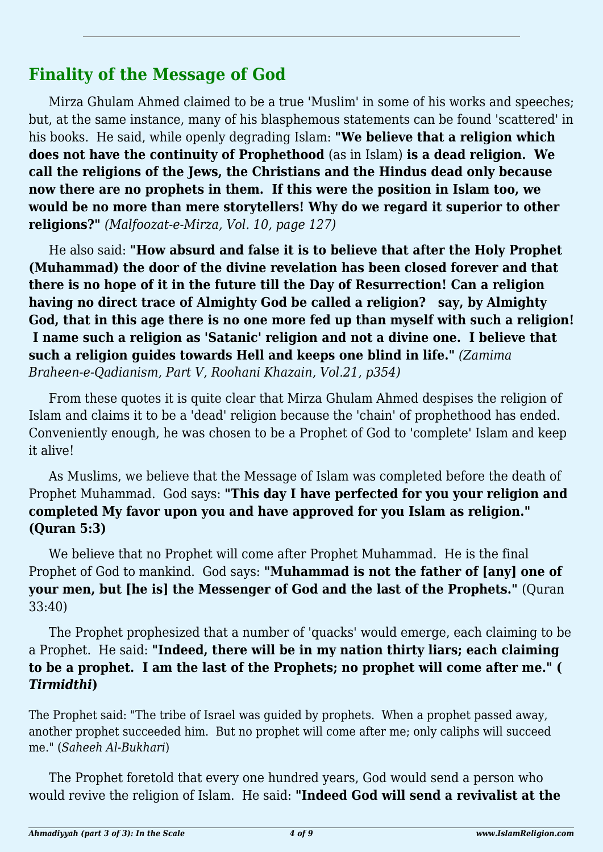### **Finality of the Message of God**

Mirza Ghulam Ahmed claimed to be a true 'Muslim' in some of his works and speeches; but, at the same instance, many of his blasphemous statements can be found 'scattered' in his books. He said, while openly degrading Islam: **"We believe that a religion which does not have the continuity of Prophethood** (as in Islam) **is a dead religion. We call the religions of the Jews, the Christians and the Hindus dead only because now there are no prophets in them. If this were the position in Islam too, we would be no more than mere storytellers! Why do we regard it superior to other religions?"** *(Malfoozat-e-Mirza, Vol. 10, page 127)*

He also said: **"How absurd and false it is to believe that after the Holy Prophet (Muhammad) the door of the divine revelation has been closed forever and that there is no hope of it in the future till the Day of Resurrection! Can a religion having no direct trace of Almighty God be called a religion? say, by Almighty God, that in this age there is no one more fed up than myself with such a religion! I name such a religion as 'Satanic' religion and not a divine one. I believe that such a religion guides towards Hell and keeps one blind in life."** *(Zamima Braheen-e-Qadianism, Part V, Roohani Khazain, Vol.21, p354)*

From these quotes it is quite clear that Mirza Ghulam Ahmed despises the religion of Islam and claims it to be a 'dead' religion because the 'chain' of prophethood has ended. Conveniently enough, he was chosen to be a Prophet of God to 'complete' Islam and keep it alive!

As Muslims, we believe that the Message of Islam was completed before the death of Prophet Muhammad. God says: **"This day I have perfected for you your religion and completed My favor upon you and have approved for you Islam as religion." (Quran 5:3)**

We believe that no Prophet will come after Prophet Muhammad. He is the final Prophet of God to mankind. God says: **"Muhammad is not the father of [any] one of your men, but [he is] the Messenger of God and the last of the Prophets."** (Quran 33:40)

The Prophet prophesized that a number of 'quacks' would emerge, each claiming to be a Prophet. He said: **"Indeed, there will be in my nation thirty liars; each claiming to be a prophet. I am the last of the Prophets; no prophet will come after me." (** *Tirmidthi***)**

The Prophet said: "The tribe of Israel was guided by prophets. When a prophet passed away, another prophet succeeded him. But no prophet will come after me; only caliphs will succeed me." (*Saheeh Al-Bukhari*)

The Prophet foretold that every one hundred years, God would send a person who would revive the religion of Islam. He said: **"Indeed God will send a revivalist at the**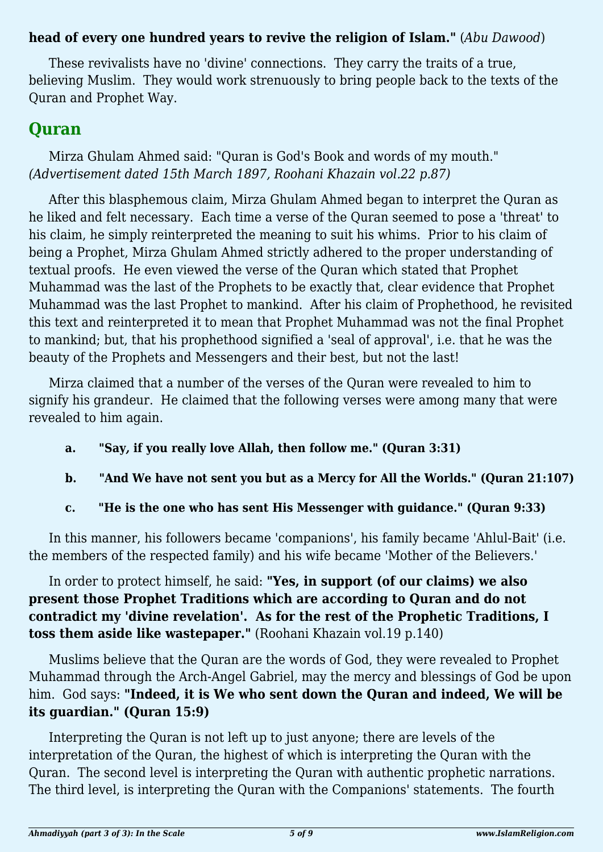#### **head of every one hundred years to revive the religion of Islam."** (*Abu Dawood*)

These revivalists have no 'divine' connections. They carry the traits of a true, believing Muslim. They would work strenuously to bring people back to the texts of the Quran and Prophet Way.

## **Quran**

Mirza Ghulam Ahmed said: "Quran is God's Book and words of my mouth." *(Advertisement dated 15th March 1897, Roohani Khazain vol.22 p.87)*

After this blasphemous claim, Mirza Ghulam Ahmed began to interpret the Quran as he liked and felt necessary. Each time a verse of the Quran seemed to pose a 'threat' to his claim, he simply reinterpreted the meaning to suit his whims. Prior to his claim of being a Prophet, Mirza Ghulam Ahmed strictly adhered to the proper understanding of textual proofs. He even viewed the verse of the Quran which stated that Prophet Muhammad was the last of the Prophets to be exactly that, clear evidence that Prophet Muhammad was the last Prophet to mankind. After his claim of Prophethood, he revisited this text and reinterpreted it to mean that Prophet Muhammad was not the final Prophet to mankind; but, that his prophethood signified a 'seal of approval', i.e. that he was the beauty of the Prophets and Messengers and their best, but not the last!

Mirza claimed that a number of the verses of the Quran were revealed to him to signify his grandeur. He claimed that the following verses were among many that were revealed to him again.

- **a. "Say***,* **if you really love Allah, then follow me." (Quran 3:31)**
- **b. "And We have not sent you but as a Mercy for All the Worlds." (Quran 21:107)**
- **c. "He is the one who has sent His Messenger with guidance." (Quran 9:33)**

In this manner, his followers became 'companions', his family became 'Ahlul-Bait' (i.e. the members of the respected family) and his wife became 'Mother of the Believers.'

In order to protect himself, he said: **"Yes, in support (of our claims) we also present those Prophet Traditions which are according to Quran and do not contradict my 'divine revelation'. As for the rest of the Prophetic Traditions, I toss them aside like wastepaper."** (Roohani Khazain vol.19 p.140)

Muslims believe that the Quran are the words of God, they were revealed to Prophet Muhammad through the Arch-Angel Gabriel, may the mercy and blessings of God be upon him. God says: **"Indeed, it is We who sent down the Quran and indeed, We will be its guardian." (Quran 15:9)**

Interpreting the Quran is not left up to just anyone; there are levels of the interpretation of the Quran, the highest of which is interpreting the Quran with the Quran. The second level is interpreting the Quran with authentic prophetic narrations. The third level, is interpreting the Quran with the Companions' statements. The fourth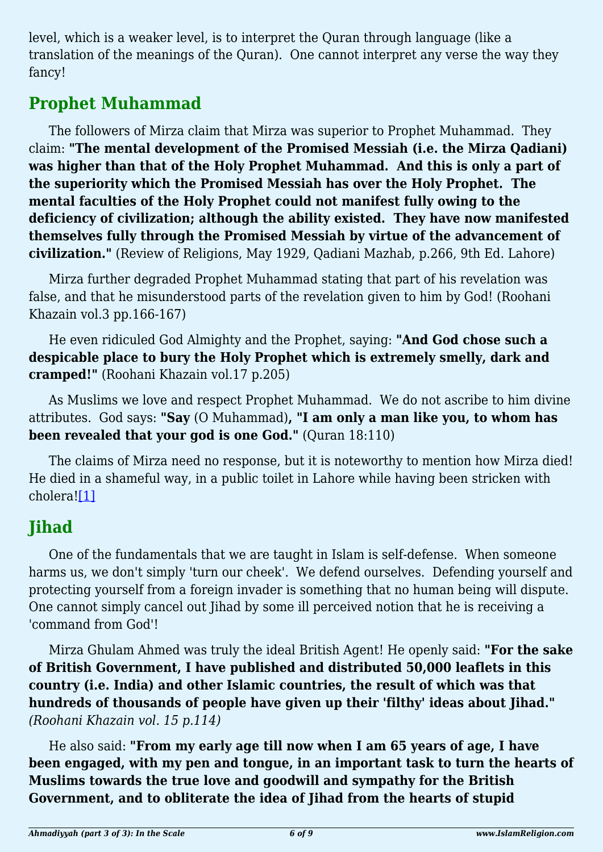level, which is a weaker level, is to interpret the Quran through language (like a translation of the meanings of the Quran). One cannot interpret any verse the way they fancy!

# **Prophet Muhammad**

The followers of Mirza claim that Mirza was superior to Prophet Muhammad. They claim: **"The mental development of the Promised Messiah (i.e. the Mirza Qadiani) was higher than that of the Holy Prophet Muhammad. And this is only a part of the superiority which the Promised Messiah has over the Holy Prophet. The mental faculties of the Holy Prophet could not manifest fully owing to the deficiency of civilization; although the ability existed. They have now manifested themselves fully through the Promised Messiah by virtue of the advancement of civilization."** (Review of Religions, May 1929, Qadiani Mazhab, p.266, 9th Ed. Lahore)

Mirza further degraded Prophet Muhammad stating that part of his revelation was false, and that he misunderstood parts of the revelation given to him by God! (Roohani Khazain vol.3 pp.166-167)

He even ridiculed God Almighty and the Prophet, saying: **"And God chose such a despicable place to bury the Holy Prophet which is extremely smelly, dark and cramped!"** (Roohani Khazain vol.17 p.205)

As Muslims we love and respect Prophet Muhammad. We do not ascribe to him divine attributes. God says: **"Say** (O Muhammad)**, "I am only a man like you, to whom has been revealed that your god is one God."** (Quran 18:110)

The claims of Mirza need no response, but it is noteworthy to mention how Mirza died! He died in a shameful way, in a public toilet in Lahore while having been stricken with cholera[!\[1\]](#page-6-0)

## <span id="page-5-0"></span>**Jihad**

One of the fundamentals that we are taught in Islam is self-defense. When someone harms us, we don't simply 'turn our cheek'. We defend ourselves. Defending yourself and protecting yourself from a foreign invader is something that no human being will dispute. One cannot simply cancel out Jihad by some ill perceived notion that he is receiving a 'command from God'!

Mirza Ghulam Ahmed was truly the ideal British Agent! He openly said: **"For the sake of British Government, I have published and distributed 50,000 leaflets in this country (i.e. India) and other Islamic countries, the result of which was that hundreds of thousands of people have given up their 'filthy' ideas about Jihad."** *(Roohani Khazain vol. 15 p.114)*

He also said: **"From my early age till now when I am 65 years of age, I have been engaged, with my pen and tongue, in an important task to turn the hearts of Muslims towards the true love and goodwill and sympathy for the British Government, and to obliterate the idea of Jihad from the hearts of stupid**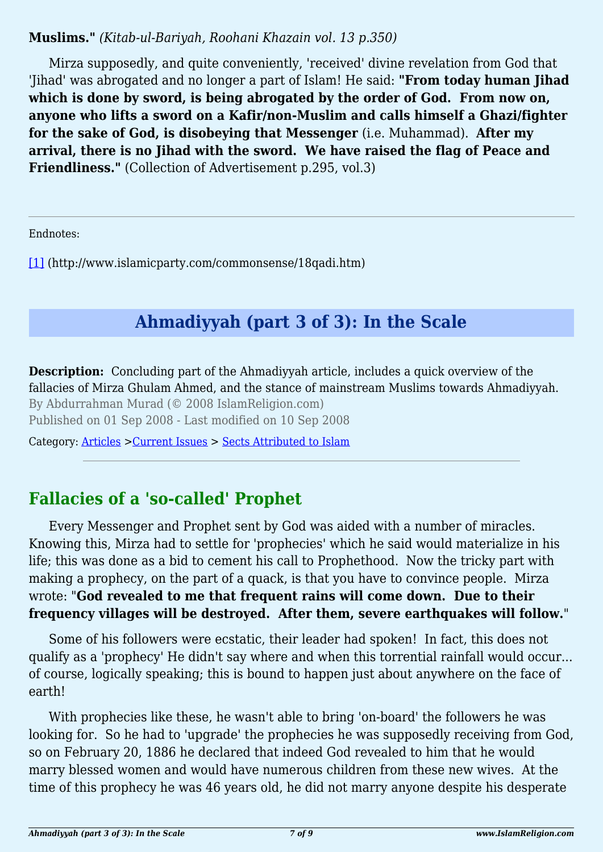#### **Muslims."** *(Kitab-ul-Bariyah, Roohani Khazain vol. 13 p.350)*

Mirza supposedly, and quite conveniently, 'received' divine revelation from God that 'Jihad' was abrogated and no longer a part of Islam! He said: **"From today human Jihad which is done by sword, is being abrogated by the order of God. From now on, anyone who lifts a sword on a Kafir/non-Muslim and calls himself a Ghazi/fighter for the sake of God, is disobeying that Messenger** (i.e. Muhammad). **After my arrival, there is no Jihad with the sword. We have raised the flag of Peace and Friendliness."** (Collection of Advertisement p.295, vol.3)

<span id="page-6-0"></span>Endnotes:

[\[1\]](#page-5-0) (http://www.islamicparty.com/commonsense/18qadi.htm)

# **Ahmadiyyah (part 3 of 3): In the Scale**

**Description:** Concluding part of the Ahmadiyyah article, includes a quick overview of the fallacies of Mirza Ghulam Ahmed, and the stance of mainstream Muslims towards Ahmadiyyah. By Abdurrahman Murad (© 2008 IslamReligion.com) Published on 01 Sep 2008 - Last modified on 10 Sep 2008

Category: [Articles](http://www.islamreligion.com/articles/) >[Current Issues](http://www.islamreligion.com/category/83/) > [Sects Attributed to Islam](http://www.islamreligion.com/category/86/)

# **Fallacies of a 'so-called' Prophet**

Every Messenger and Prophet sent by God was aided with a number of miracles. Knowing this, Mirza had to settle for 'prophecies' which he said would materialize in his life; this was done as a bid to cement his call to Prophethood. Now the tricky part with making a prophecy, on the part of a quack, is that you have to convince people. Mirza wrote: "**God revealed to me that frequent rains will come down. Due to their frequency villages will be destroyed. After them, severe earthquakes will follow.**"

Some of his followers were ecstatic, their leader had spoken! In fact, this does not qualify as a 'prophecy' He didn't say where and when this torrential rainfall would occur... of course, logically speaking; this is bound to happen just about anywhere on the face of earth!

With prophecies like these, he wasn't able to bring 'on-board' the followers he was looking for. So he had to 'upgrade' the prophecies he was supposedly receiving from God, so on February 20, 1886 he declared that indeed God revealed to him that he would marry blessed women and would have numerous children from these new wives. At the time of this prophecy he was 46 years old, he did not marry anyone despite his desperate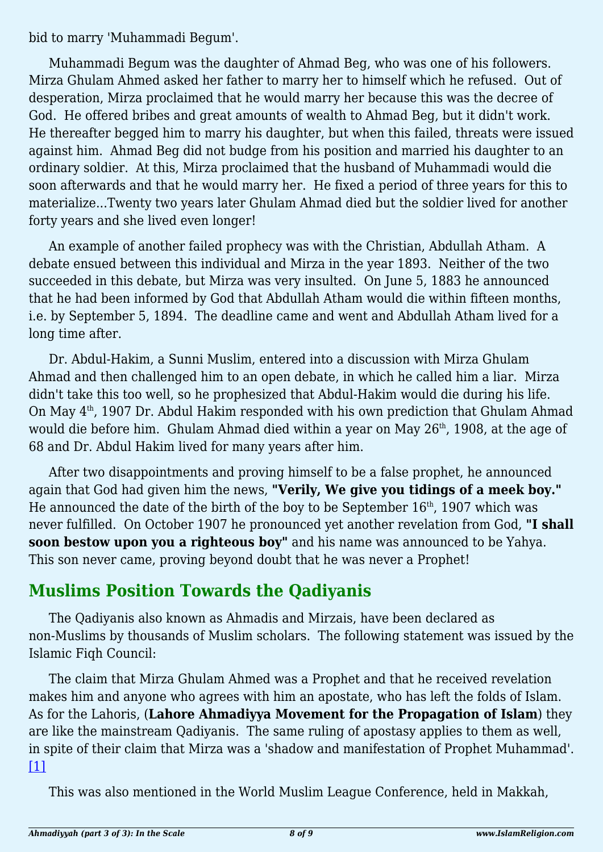bid to marry 'Muhammadi Begum'.

Muhammadi Begum was the daughter of Ahmad Beg, who was one of his followers. Mirza Ghulam Ahmed asked her father to marry her to himself which he refused. Out of desperation, Mirza proclaimed that he would marry her because this was the decree of God. He offered bribes and great amounts of wealth to Ahmad Beg, but it didn't work. He thereafter begged him to marry his daughter, but when this failed, threats were issued against him. Ahmad Beg did not budge from his position and married his daughter to an ordinary soldier. At this, Mirza proclaimed that the husband of Muhammadi would die soon afterwards and that he would marry her. He fixed a period of three years for this to materialize...Twenty two years later Ghulam Ahmad died but the soldier lived for another forty years and she lived even longer!

An example of another failed prophecy was with the Christian, Abdullah Atham. A debate ensued between this individual and Mirza in the year 1893. Neither of the two succeeded in this debate, but Mirza was very insulted. On June 5, 1883 he announced that he had been informed by God that Abdullah Atham would die within fifteen months, i.e. by September 5, 1894. The deadline came and went and Abdullah Atham lived for a long time after.

Dr. Abdul-Hakim, a Sunni Muslim, entered into a discussion with Mirza Ghulam Ahmad and then challenged him to an open debate, in which he called him a liar. Mirza didn't take this too well, so he prophesized that Abdul-Hakim would die during his life. On May  $4<sup>th</sup>$ , 1907 Dr. Abdul Hakim responded with his own prediction that Ghulam Ahmad would die before him. Ghulam Ahmad died within a year on May 26<sup>th</sup>, 1908, at the age of 68 and Dr. Abdul Hakim lived for many years after him.

After two disappointments and proving himself to be a false prophet, he announced again that God had given him the news, **"Verily, We give you tidings of a meek boy."** He announced the date of the birth of the boy to be September  $16<sup>th</sup>$ , 1907 which was never fulfilled. On October 1907 he pronounced yet another revelation from God, **"I shall soon bestow upon you a righteous boy"** and his name was announced to be Yahya. This son never came, proving beyond doubt that he was never a Prophet!

## **Muslims Position Towards the Qadiyanis**

The Qadiyanis also known as Ahmadis and Mirzais, have been declared as non-Muslims by thousands of Muslim scholars. The following statement was issued by the Islamic Fiqh Council:

The claim that Mirza Ghulam Ahmed was a Prophet and that he received revelation makes him and anyone who agrees with him an apostate, who has left the folds of Islam. As for the Lahoris, (**Lahore Ahmadiyya Movement for the Propagation of Islam**) they are like the mainstream Qadiyanis. The same ruling of apostasy applies to them as well, in spite of their claim that Mirza was a 'shadow and manifestation of Prophet Muhammad'.  $[1]$ 

<span id="page-7-0"></span>This was also mentioned in the World Muslim League Conference, held in Makkah,